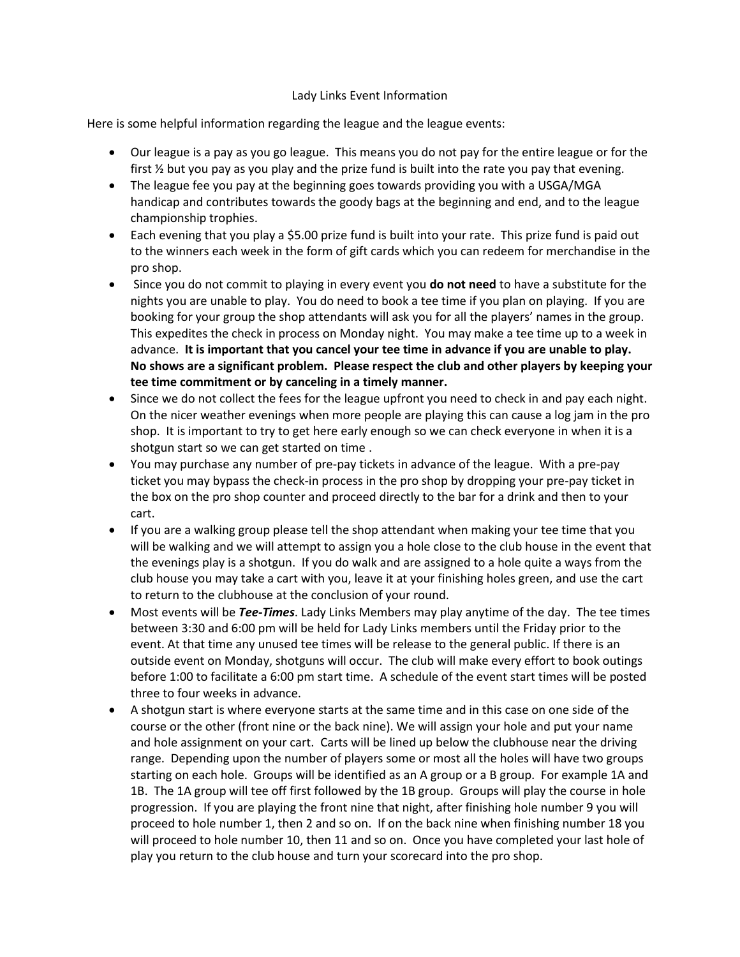## Lady Links Event Information

Here is some helpful information regarding the league and the league events:

- Our league is a pay as you go league. This means you do not pay for the entire league or for the first  $\frac{1}{2}$  but you pay as you play and the prize fund is built into the rate you pay that evening.
- The league fee you pay at the beginning goes towards providing you with a USGA/MGA handicap and contributes towards the goody bags at the beginning and end, and to the league championship trophies.
- Each evening that you play a \$5.00 prize fund is built into your rate. This prize fund is paid out to the winners each week in the form of gift cards which you can redeem for merchandise in the pro shop.
- Since you do not commit to playing in every event you **do not need** to have a substitute for the nights you are unable to play. You do need to book a tee time if you plan on playing. If you are booking for your group the shop attendants will ask you for all the players' names in the group. This expedites the check in process on Monday night. You may make a tee time up to a week in advance. **It is important that you cancel your tee time in advance if you are unable to play. No shows are a significant problem. Please respect the club and other players by keeping your tee time commitment or by canceling in a timely manner.**
- Since we do not collect the fees for the league upfront you need to check in and pay each night. On the nicer weather evenings when more people are playing this can cause a log jam in the pro shop. It is important to try to get here early enough so we can check everyone in when it is a shotgun start so we can get started on time .
- You may purchase any number of pre-pay tickets in advance of the league. With a pre-pay ticket you may bypass the check-in process in the pro shop by dropping your pre-pay ticket in the box on the pro shop counter and proceed directly to the bar for a drink and then to your cart.
- If you are a walking group please tell the shop attendant when making your tee time that you will be walking and we will attempt to assign you a hole close to the club house in the event that the evenings play is a shotgun. If you do walk and are assigned to a hole quite a ways from the club house you may take a cart with you, leave it at your finishing holes green, and use the cart to return to the clubhouse at the conclusion of your round.
- Most events will be *Tee-Times*. Lady Links Members may play anytime of the day. The tee times between 3:30 and 6:00 pm will be held for Lady Links members until the Friday prior to the event. At that time any unused tee times will be release to the general public. If there is an outside event on Monday, shotguns will occur. The club will make every effort to book outings before 1:00 to facilitate a 6:00 pm start time. A schedule of the event start times will be posted three to four weeks in advance.
- A shotgun start is where everyone starts at the same time and in this case on one side of the course or the other (front nine or the back nine). We will assign your hole and put your name and hole assignment on your cart. Carts will be lined up below the clubhouse near the driving range. Depending upon the number of players some or most all the holes will have two groups starting on each hole. Groups will be identified as an A group or a B group. For example 1A and 1B. The 1A group will tee off first followed by the 1B group. Groups will play the course in hole progression. If you are playing the front nine that night, after finishing hole number 9 you will proceed to hole number 1, then 2 and so on. If on the back nine when finishing number 18 you will proceed to hole number 10, then 11 and so on. Once you have completed your last hole of play you return to the club house and turn your scorecard into the pro shop.